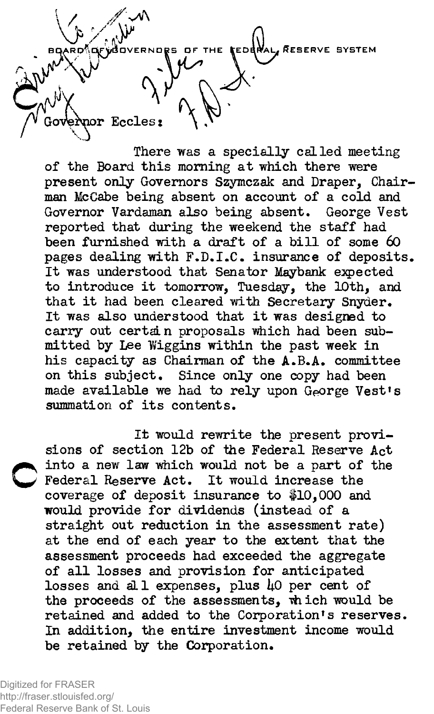,RESERVE SYSTEM Eccles:

There was a specially called meeting of the Board this morning at which there were present only Governors Szymczak and Draper, Chairman McCabe being absent on account of a cold and Governor Vardaman also being absent, George Vest reported that during the weekend the staff had been furnished with a draft of a bill of some 60 pages dealing with F.D.I.C. insurance of deposits. It was understood that Senator Maybank expected to introduce it tomorrow, Tuesday, the 10th, and that it had been cleared with Secretary Snyder. It was also understood that it was designed to carry out certain proposals which had been submitted by Lee Wiggins within the past week in his capacity as Chairman of the A.B.A. committee on this subject. Since only one copy had been made available we had to rely upon George Vest's summation of its contents.

It would rewrite the present provisions of section 12b of the Federal Reserve Act into a new law which would not be a part of the Federal Reserve Act. It would increase the coverage of deposit insurance to #10,000 and would provide for dividends (instead of a straight out reduction in the assessment rate) at the end of each year to the extent that the assessment proceeds had exceeded the aggregate of all losses and provision for anticipated losses and all expenses, plus 40 per cent of the proceeds of the assessments, which would be retained and added to the Corporation's reserves. In addition, the entire investment income would be retained by the Corporation.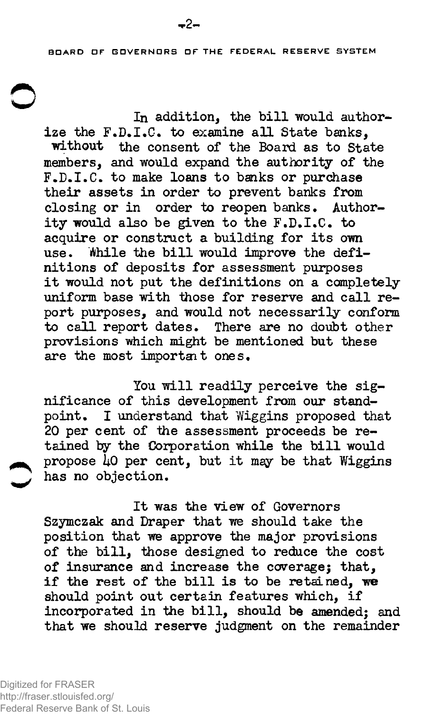BOARD DF BDVERNDRS OF THE FEDERAL RESERVE SYSTEM

In addition, the bill would authorize the F.D.I.C. to examine all State banks. without the consent of the Board as to State members, and would expand the authority of the F.D.I.C, to make loans to banks or purchase their assets in order to prevent banks from closing or in order to reopen banks. Authority would also be given to the  $F.D.I.C.$  to acquire or construct a building for its own use. While the bill would improve the definitions of deposits for assessment purposes it would not put the definitions on a completely uniform base with those for reserve and call report purposes, and would not necessarily conform to call report dates. There are no doubt other provisions which might be mentioned but these are the most important ones.

You will readily perceive the significance of this development from our stand-<br>point. I understand that Wiggins proposed that I understand that Wiggins proposed that 20 per cent of the assessment proceeds be retained by the Corporation while the bill would propose  $\overline{1}0$  per cent, but it may be that Wiggins has no objection.

It was the view of Governors Szymczak and Draper that we should take the position that we approve the major provisions of the bill, those designed to reduce the cost of insurance and increase the coverage; that, if the rest of the bill is to be retained, we should point out certain features which, if incorporated in the bill, should be amended; and that we should reserve judgment on the remainder